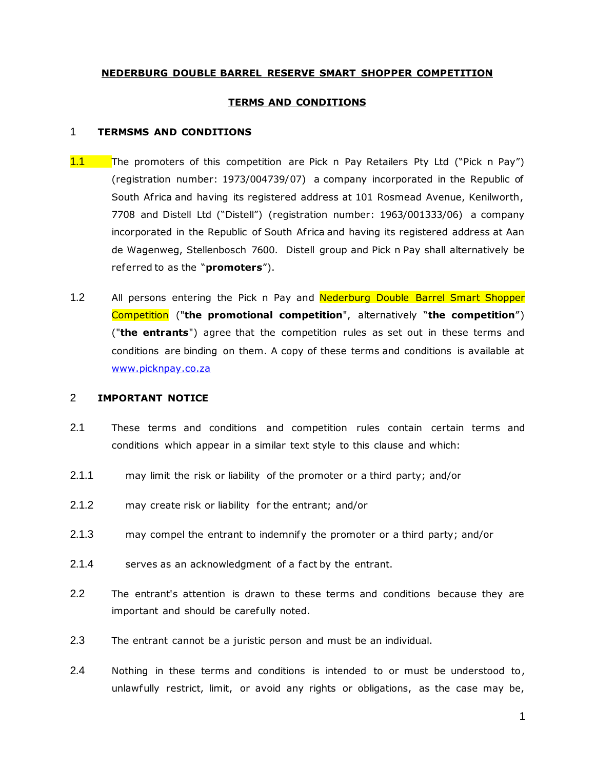# **NEDERBURG DOUBLE BARREL RESERVE SMART SHOPPER COMPETITION**

### **TERMS AND CONDITIONS**

#### 1 **TERMSMS AND CONDITIONS**

- 1.1 The promoters of this competition are Pick n Pay Retailers Pty Ltd ("Pick n Pay") (registration number: 1973/004739/07) a company incorporated in the Republic of South Africa and having its registered address at 101 Rosmead Avenue, Kenilworth, 7708 and Distell Ltd ("Distell") (registration number: 1963/001333/06) a company incorporated in the Republic of South Africa and having its registered address at Aan de Wagenweg, Stellenbosch 7600. Distell group and Pick n Pay shall alternatively be referred to as the "**promoters**").
- 1.2 All persons entering the Pick n Pay and Nederburg Double Barrel Smart Shopper Competition ("**the promotional competition**", alternatively "**the competition**") ("**the entrants**") agree that the competition rules as set out in these terms and conditions are binding on them. A copy of these terms and conditions is available at [www.picknpay.co.za](http://www.picknpay.co.za/)

# 2 **IMPORTANT NOTICE**

- 2.1 These terms and conditions and competition rules contain certain terms and conditions which appear in a similar text style to this clause and which:
- 2.1.1 may limit the risk or liability of the promoter or a third party; and/or
- 2.1.2 may create risk or liability for the entrant; and/or
- 2.1.3 may compel the entrant to indemnify the promoter or a third party; and/or
- 2.1.4 serves as an acknowledgment of a fact by the entrant.
- 2.2 The entrant's attention is drawn to these terms and conditions because they are important and should be carefully noted.
- 2.3 The entrant cannot be a juristic person and must be an individual.
- 2.4 Nothing in these terms and conditions is intended to or must be understood to, unlawfully restrict, limit, or avoid any rights or obligations, as the case may be,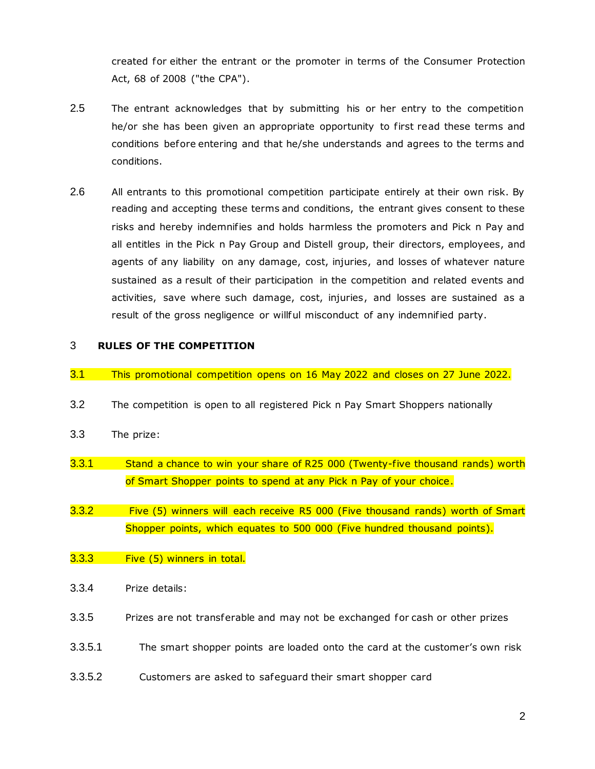created for either the entrant or the promoter in terms of the Consumer Protection Act, 68 of 2008 ("the CPA").

- 2.5 The entrant acknowledges that by submitting his or her entry to the competition he/or she has been given an appropriate opportunity to first read these terms and conditions before entering and that he/she understands and agrees to the terms and conditions.
- 2.6 All entrants to this promotional competition participate entirely at their own risk. By reading and accepting these terms and conditions, the entrant gives consent to these risks and hereby indemnifies and holds harmless the promoters and Pick n Pay and all entitles in the Pick n Pay Group and Distell group, their directors, employees, and agents of any liability on any damage, cost, injuries, and losses of whatever nature sustained as a result of their participation in the competition and related events and activities, save where such damage, cost, injuries, and losses are sustained as a result of the gross negligence or willful misconduct of any indemnified party.

# 3 **RULES OF THE COMPETITION**

- 3.1 This promotional competition opens on 16 May 2022 and closes on 27 June 2022.
- 3.2 The competition is open to all registered Pick n Pay Smart Shoppers nationally
- 3.3 The prize:
- 3.3.1 Stand a chance to win your share of R25 000 (Twenty-five thousand rands) worth of Smart Shopper points to spend at any Pick n Pay of your choice.
- 3.3.2 Five (5) winners will each receive R5 000 (Five thousand rands) worth of Smart Shopper points, which equates to 500 000 (Five hundred thousand points).
- 3.3.3 Five (5) winners in total.
- 3.3.4 Prize details:
- 3.3.5 Prizes are not transferable and may not be exchanged for cash or other prizes
- 3.3.5.1 The smart shopper points are loaded onto the card at the customer's own risk
- 3.3.5.2 Customers are asked to safeguard their smart shopper card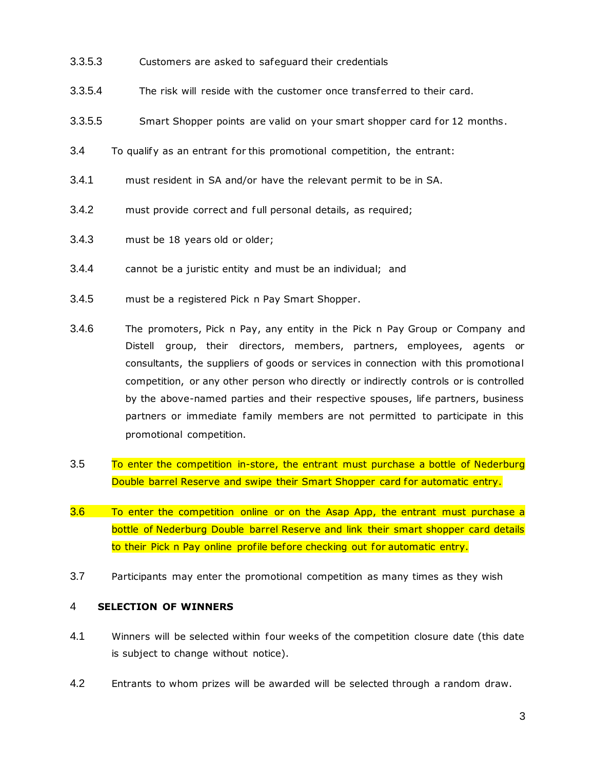- 3.3.5.3 Customers are asked to safeguard their credentials
- 3.3.5.4 The risk will reside with the customer once transferred to their card.
- 3.3.5.5 Smart Shopper points are valid on your smart shopper card for 12 months.
- 3.4 To qualify as an entrant for this promotional competition, the entrant:
- 3.4.1 must resident in SA and/or have the relevant permit to be in SA.
- 3.4.2 must provide correct and full personal details, as required;
- 3.4.3 must be 18 years old or older;
- 3.4.4 cannot be a juristic entity and must be an individual; and
- 3.4.5 must be a registered Pick n Pay Smart Shopper.
- 3.4.6 The promoters, Pick n Pay, any entity in the Pick n Pay Group or Company and Distell group, their directors, members, partners, employees, agents or consultants, the suppliers of goods or services in connection with this promotional competition, or any other person who directly or indirectly controls or is controlled by the above-named parties and their respective spouses, life partners, business partners or immediate family members are not permitted to participate in this promotional competition.
- 3.5 To enter the competition in-store, the entrant must purchase a bottle of Nederburg Double barrel Reserve and swipe their Smart Shopper card for automatic entry.
- 3.6 To enter the competition online or on the Asap App, the entrant must purchase a bottle of Nederburg Double barrel Reserve and link their smart shopper card details to their Pick n Pay online profile before checking out for automatic entry.
- 3.7 Participants may enter the promotional competition as many times as they wish

# 4 **SELECTION OF WINNERS**

- 4.1 Winners will be selected within four weeks of the competition closure date (this date is subject to change without notice).
- 4.2 Entrants to whom prizes will be awarded will be selected through a random draw.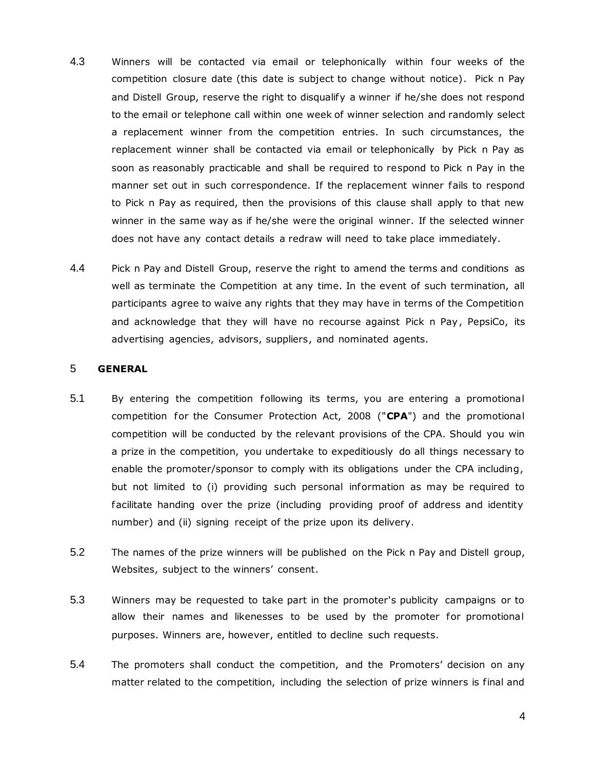- 4.3 Winners will be contacted via email or telephonically within four weeks of the competition closure date (this date is subject to change without notice). Pick n Pay and Distell Group, reserve the right to disqualify a winner if he/she does not respond to the email or telephone call within one week of winner selection and randomly select a replacement winner from the competition entries. In such circumstances, the replacement winner shall be contacted via email or telephonically by Pick n Pay as soon as reasonably practicable and shall be required to respond to Pick n Pay in the manner set out in such correspondence. If the replacement winner fails to respond to Pick n Pay as required, then the provisions of this clause shall apply to that new winner in the same way as if he/she were the original winner. If the selected winner does not have any contact details a redraw will need to take place immediately.
- 4.4 Pick n Pay and Distell Group, reserve the right to amend the terms and conditions as well as terminate the Competition at any time. In the event of such termination, all participants agree to waive any rights that they may have in terms of the Competition and acknowledge that they will have no recourse against Pick n Pay, PepsiCo, its advertising agencies, advisors, suppliers, and nominated agents.

# 5 **GENERAL**

- 5.1 By entering the competition following its terms, you are entering a promotional competition for the Consumer Protection Act, 2008 ("**CPA**") and the promotional competition will be conducted by the relevant provisions of the CPA. Should you win a prize in the competition, you undertake to expeditiously do all things necessary to enable the promoter/sponsor to comply with its obligations under the CPA including, but not limited to (i) providing such personal information as may be required to facilitate handing over the prize (including providing proof of address and identity number) and (ii) signing receipt of the prize upon its delivery.
- 5.2 The names of the prize winners will be published on the Pick n Pay and Distell group, Websites, subject to the winners' consent.
- 5.3 Winners may be requested to take part in the promoter's publicity campaigns or to allow their names and likenesses to be used by the promoter for promotional purposes. Winners are, however, entitled to decline such requests.
- 5.4 The promoters shall conduct the competition, and the Promoters' decision on any matter related to the competition, including the selection of prize winners is final and